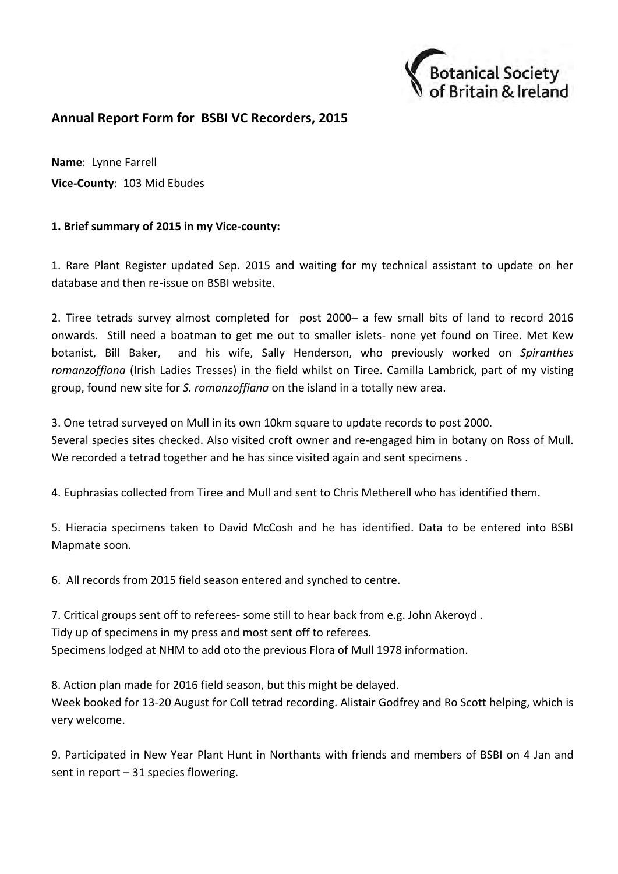

## **Annual Report Form for BSBI VC Recorders, 2015**

**Name**: Lynne Farrell **Vice-County**: 103 Mid Ebudes

## **1. Brief summary of 2015 in my Vice-county:**

1. Rare Plant Register updated Sep. 2015 and waiting for my technical assistant to update on her database and then re-issue on BSBI website.

2. Tiree tetrads survey almost completed for post 2000– a few small bits of land to record 2016 onwards. Still need a boatman to get me out to smaller islets- none yet found on Tiree. Met Kew botanist, Bill Baker, and his wife, Sally Henderson, who previously worked on *Spiranthes romanzoffiana* (Irish Ladies Tresses) in the field whilst on Tiree. Camilla Lambrick, part of my visting group, found new site for *S. romanzoffiana* on the island in a totally new area.

3. One tetrad surveyed on Mull in its own 10km square to update records to post 2000.

Several species sites checked. Also visited croft owner and re-engaged him in botany on Ross of Mull. We recorded a tetrad together and he has since visited again and sent specimens .

4. Euphrasias collected from Tiree and Mull and sent to Chris Metherell who has identified them.

5. Hieracia specimens taken to David McCosh and he has identified. Data to be entered into BSBI Mapmate soon.

6. All records from 2015 field season entered and synched to centre.

7. Critical groups sent off to referees- some still to hear back from e.g. John Akeroyd . Tidy up of specimens in my press and most sent off to referees. Specimens lodged at NHM to add oto the previous Flora of Mull 1978 information.

8. Action plan made for 2016 field season, but this might be delayed. Week booked for 13-20 August for Coll tetrad recording. Alistair Godfrey and Ro Scott helping, which is very welcome.

9. Participated in New Year Plant Hunt in Northants with friends and members of BSBI on 4 Jan and sent in report – 31 species flowering.